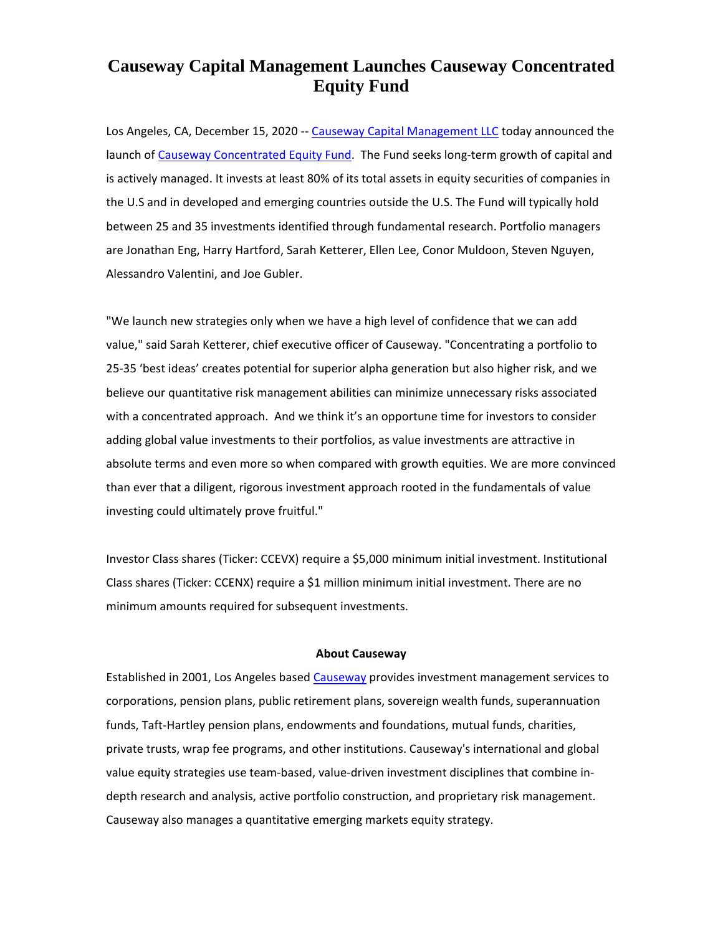## **Causeway Capital Management Launches Causeway Concentrated Equity Fund**

Los Angeles, CA, December 15, 2020 -- [Causeway Capital Management LLC](https://www.causewaycap.com/) today announced the launch of [Causeway Concentrated Equity](https://www.causewaycap.com/fund/concentrated-equity-fund/) Fund. The Fund seeks long-term growth of capital and is actively managed. It invests at least 80% of its total assets in equity securities of companies in the U.S and in developed and emerging countries outside the U.S. The Fund will typically hold between 25 and 35 investments identified through fundamental research. Portfolio managers are Jonathan Eng, Harry Hartford, Sarah Ketterer, Ellen Lee, Conor Muldoon, Steven Nguyen, Alessandro Valentini, and Joe Gubler.

"We launch new strategies only when we have a high level of confidence that we can add value," said Sarah Ketterer, chief executive officer of Causeway. "Concentrating a portfolio to 25-35 'best ideas' creates potential for superior alpha generation but also higher risk, and we believe our quantitative risk management abilities can minimize unnecessary risks associated with a concentrated approach. And we think it's an opportune time for investors to consider adding global value investments to their portfolios, as value investments are attractive in absolute terms and even more so when compared with growth equities. We are more convinced than ever that a diligent, rigorous investment approach rooted in the fundamentals of value investing could ultimately prove fruitful."

Investor Class shares (Ticker: CCEVX) require a \$5,000 minimum initial investment. Institutional Class shares (Ticker: CCENX) require a \$1 million minimum initial investment. There are no minimum amounts required for subsequent investments.

## **About Causeway**

Established in 2001, Los Angeles based [Causeway](https://www.causewaycap.com/) provides investment management services to corporations, pension plans, public retirement plans, sovereign wealth funds, superannuation funds, Taft-Hartley pension plans, endowments and foundations, mutual funds, charities, private trusts, wrap fee programs, and other institutions. Causeway's international and global value equity strategies use team-based, value-driven investment disciplines that combine indepth research and analysis, active portfolio construction, and proprietary risk management. Causeway also manages a quantitative emerging markets equity strategy.